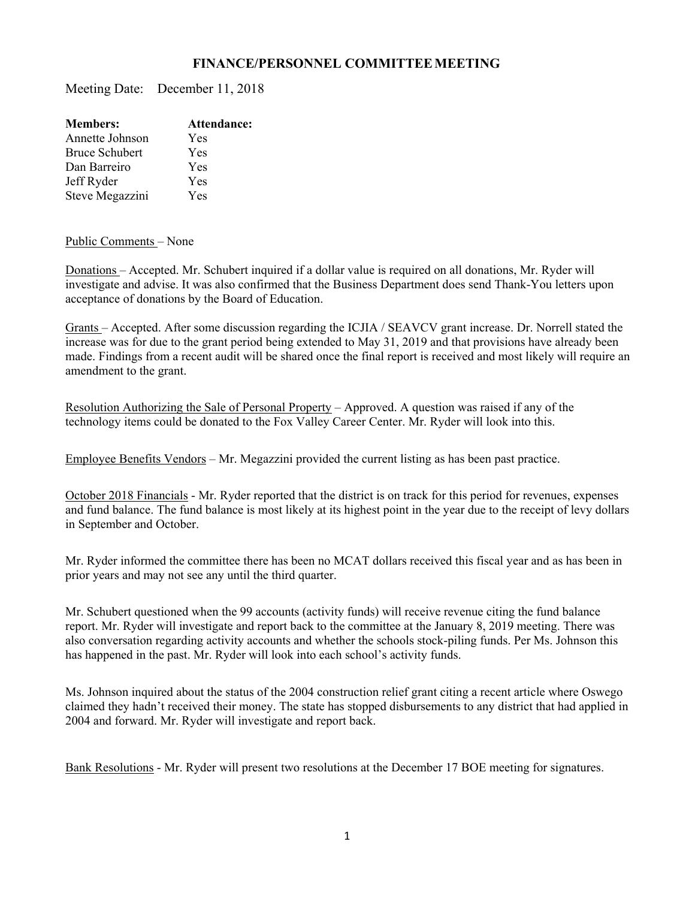## **FINANCE/PERSONNEL COMMITTEE MEETING**

Meeting Date: December 11, 2018

| Attendance: |
|-------------|
| Yes         |
| Yes         |
| Yes         |
| Yes         |
| Yes         |
|             |

## Public Comments – None

Donations – Accepted. Mr. Schubert inquired if a dollar value is required on all donations, Mr. Ryder will investigate and advise. It was also confirmed that the Business Department does send Thank-You letters upon acceptance of donations by the Board of Education.

Grants – Accepted. After some discussion regarding the ICJIA / SEAVCV grant increase. Dr. Norrell stated the increase was for due to the grant period being extended to May 31, 2019 and that provisions have already been made. Findings from a recent audit will be shared once the final report is received and most likely will require an amendment to the grant.

Resolution Authorizing the Sale of Personal Property – Approved. A question was raised if any of the technology items could be donated to the Fox Valley Career Center. Mr. Ryder will look into this.

Employee Benefits Vendors – Mr. Megazzini provided the current listing as has been past practice.

October 2018 Financials - Mr. Ryder reported that the district is on track for this period for revenues, expenses and fund balance. The fund balance is most likely at its highest point in the year due to the receipt of levy dollars in September and October.

Mr. Ryder informed the committee there has been no MCAT dollars received this fiscal year and as has been in prior years and may not see any until the third quarter.

Mr. Schubert questioned when the 99 accounts (activity funds) will receive revenue citing the fund balance report. Mr. Ryder will investigate and report back to the committee at the January 8, 2019 meeting. There was also conversation regarding activity accounts and whether the schools stock-piling funds. Per Ms. Johnson this has happened in the past. Mr. Ryder will look into each school's activity funds.

Ms. Johnson inquired about the status of the 2004 construction relief grant citing a recent article where Oswego claimed they hadn't received their money. The state has stopped disbursements to any district that had applied in 2004 and forward. Mr. Ryder will investigate and report back.

Bank Resolutions - Mr. Ryder will present two resolutions at the December 17 BOE meeting for signatures.